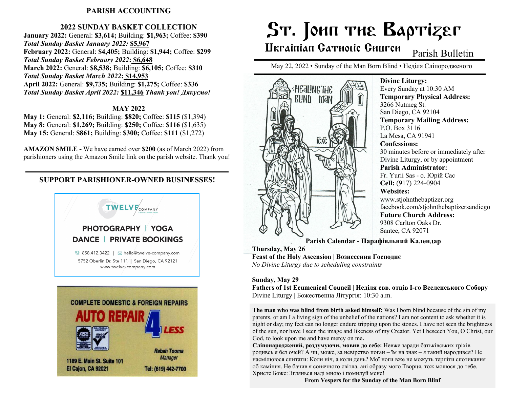### **PARISH ACCOUNTING**

### **2022 SUNDAY BASKET COLLECTION**

**January 2022:** General: **\$3,614;** Building: **\$1,963;** Coffee: **\$390** *Total Sunday Basket January 2022:* **\$5,967 February 2022:** General: **\$4,405;** Building: **\$1,944;** Coffee: **\$299** *Total Sunday Basket February 2022***: \$6,648 March 2022:** General: **\$8,538;** Building: **\$6,105;** Coffee: **\$310** *Total Sunday Basket March 2022***: \$14,953 April 2022:** General: **\$9,735;** Building: **\$1,275;** Coffee: **\$336** *Total Sunday Basket April 2022:* **\$11,346** *Thank you! Дякуємо!*

#### **MAY 2022**

**May 1:** General: **\$2,116;** Building: **\$820;** Coffee: **\$115** (\$1,394) **May 8:** General: **\$1,269;** Building: **\$250;** Coffee: **\$116** (\$1,635) **May 15:** General: **\$861;** Building: **\$300;** Coffee: **\$111** (\$1,272)

**AMAZON SMILE -** We have earned over **\$200** (as of March 2022) from parishioners using the Amazon Smile link on the parish website. Thank you!

### **SUPPORT PARISHIONER-OWNED BUSINESSES!**



# ST. JOHN THE BAPTIZET

## Hkrainian Gatholic Ghurch

Parish Bulletin

May 22, 2022 • Sunday of the Man Born Blind • Неділя Сліпородженого



**Divine Liturgy:** Every Sunday at 10:30 AM **Temporary Physical Address:** 3266 Nutmeg St. San Diego, CA 92104 **Temporary Mailing Address:** P.O. Box 3116 La Mesa, CA 91941 **Confessions:** 30 minutes before or immediately after Divine Liturgy, or by appointment **Parish Administrator:** Fr. Yurii Sas - o. Юрій Сас **Cell:** (917) 224-0904 **Websites:** [www.stjohnthebaptizer.org](about:blank) facebook.com/stjohnthebaptizersandiego **Future Church Address:** 9308 Carlton Oaks Dr. Santee, CA 92071

**Parish Calendar - Парафіяльний Kалендар Thursday, May 26 Feast of the Holy Ascension | Вознесення Господнє** *No Divine Liturgy due to scheduling constraints*

**Sunday, May 29 Fathers of 1st Ecumenical Council | Неділя свв. отців I-го Вселенського Собору** Divine Liturgy | Божественна Літургія: 10:30 a.m.

**The man who was blind from birth asked himself:** Was I born blind because of the sin of my parents, or am I a living sign of the unbelief of the nations? I am not content to ask whether it is night or day; my feet can no longer endure tripping upon the stones. I have not seen the brightness of the sun, nor have I seen the image and likeness of my Creator. Yet I beseech You, O Christ, our God, to look upon me and have mercy on me**.**

**Сліпонароджений, роздумуючи, мовив до себе:** Невже заради батьківських гріхів родивсь я без очей? А чи, може, за невірство поган – їм на знак – я такий народився? Не насмілююся спитати: Коли ніч, а коли день? Мої ноги вже не можуть терпіти спотикання об каміння. Не бачив я сонячного світла, ані образу мого Творця, тож молюся до тебе, Христе Боже: Зглянься наді мною і помилуй мене!

**From Vespers for the Sunday of the Man Born Blinf**